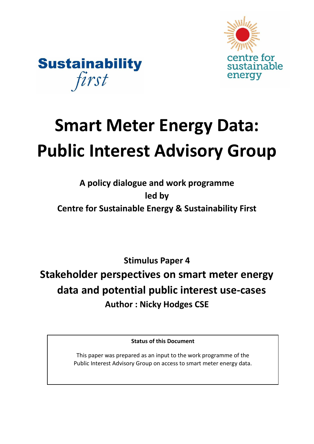

**Sustainability** first

# **Smart Meter Energy Data: Public Interest Advisory Group**

## **A policy dialogue and work programme led by Centre for Sustainable Energy & Sustainability First**

**Stimulus Paper 4**

**Stakeholder perspectives on smart meter energy data and potential public interest use-cases Author : Nicky Hodges CSE**

**Status of this Document**

This paper was prepared as an input to the work programme of the Public Interest Advisory Group on access to smart meter energy data.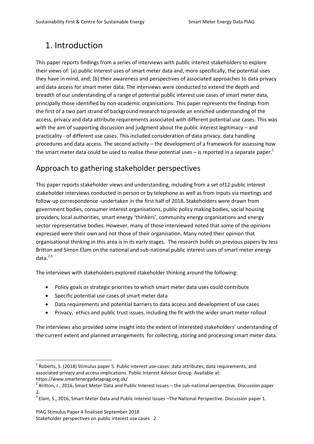## 1. Introduction

This paper reports findings from a series of interviews with public interest stakeholders to explore their views of: (a) public interest uses of smart meter data and, more specifically, the potential uses they have in mind, and; (b) their awareness and perspectives of associated approaches to data privacy and data access for smart meter data. The interviews were conducted to extend the depth and breadth of our understanding of a range of potential public interest use cases of smart meter data, principally those identified by non-academic organisations. This paper represents the findings from the first of a two part strand of background research to provide an enriched understanding of the access, privacy and data attribute requirements associated with different potential use cases. This was with the aim of supporting discussion and judgment about the public interest legitimacy – and practicality - of different use cases. This included consideration of data privacy, data handling procedures and data access. The second activity – the development of a framework for assessing how the smart meter data could be used to realise these potential uses – is reported in a separate paper.<sup>1</sup>

### Approach to gathering stakeholder perspectives

This paper reports stakeholder views and understanding, including from a set of12 public interest stakeholder interviews conducted in person or by telephone as well as from inputs via meetings and follow-up correspondence -undertaken in the first half of 2018. Stakeholders were drawn from government bodies, consumer interest organisations, public policy making bodies, social housing providers, local authorities, smart energy 'thinkers', community energy organisations and energy sector representative bodies. However, many of those interviewed noted that some of the opinions expressed were their own and not those of their organisation. Many noted their opinion that organisational thinking in this area is in its early stages. The research builds on previous papers by Jess Britton and Simon Elam on the national and sub-national public interest uses of smart meter energy data $2,3$ 

The interviews with stakeholders explored stakeholder thinking around the following:

- Policy goals or strategic priorities to which smart meter data uses could contribute
- Specific potential use cases of smart meter data
- Data requirements and potential barriers to data access and development of use cases
- Privacy, ethics and public trust issues, including the fit with the wider smart meter rollout

The interviews also provided some insight into the extent of interested stakeholders' understanding of the current extent and planned arrangements for collecting, storing and processing smart meter data.

<sup>1</sup> Roberts, S. (2018) Stimulus paper 5. Public interest use-cases: data attributes, data requirements, and associated privacy and access implications. Public Interest Advisor Group. Available at: https://www.smartenergydatapiag.org.uk/

 $2$  Britton, J., 2016, Smart Meter Data and Public Interest Issues – the sub-national perspective. Discussion paper 2.

<sup>&</sup>lt;sup>3</sup> Elam, S., 2016, Smart Meter Data and Public Interest Issues –The National Perspective. Discussion paper 1.

PIAG Stimulus Paper 4 finalised September 2018

Stakeholder perspectives on public interest use cases 2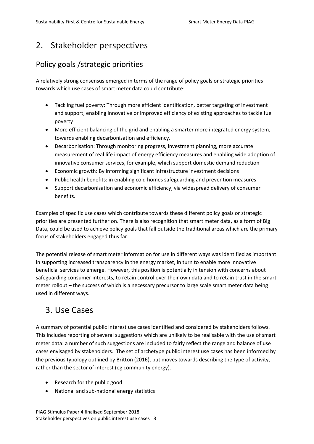## 2. Stakeholder perspectives

### Policy goals /strategic priorities

A relatively strong consensus emerged in terms of the range of policy goals or strategic priorities towards which use cases of smart meter data could contribute:

- Tackling fuel poverty: Through more efficient identification, better targeting of investment and support, enabling innovative or improved efficiency of existing approaches to tackle fuel poverty
- More efficient balancing of the grid and enabling a smarter more integrated energy system, towards enabling decarbonisation and efficiency.
- Decarbonisation: Through monitoring progress, investment planning, more accurate measurement of real life impact of energy efficiency measures and enabling wide adoption of innovative consumer services, for example, which support domestic demand reduction
- Economic growth: By informing significant infrastructure investment decisions
- Public health benefits: in enabling cold homes safeguarding and prevention measures
- Support decarbonisation and economic efficiency, via widespread delivery of consumer benefits.

Examples of specific use cases which contribute towards these different policy goals or strategic priorities are presented further on. There is also recognition that smart meter data, as a form of Big Data, could be used to achieve policy goals that fall outside the traditional areas which are the primary focus of stakeholders engaged thus far.

The potential release of smart meter information for use in different ways was identified as important in supporting increased transparency in the energy market, in turn to enable more innovative beneficial services to emerge. However, this position is potentially in tension with concerns about safeguarding consumer interests, to retain control over their own data and to retain trust in the smart meter rollout – the success of which is a necessary precursor to large scale smart meter data being used in different ways.

## 3. Use Cases

A summary of potential public interest use cases identified and considered by stakeholders follows. This includes reporting of several suggestions which are unlikely to be realisable with the use of smart meter data: a number of such suggestions are included to fairly reflect the range and balance of use cases envisaged by stakeholders. The set of archetype public interest use cases has been informed by the previous typology outlined by Britton (2016), but moves towards describing the type of activity, rather than the sector of interest (eg community energy).

- Research for the public good
- National and sub-national energy statistics

PIAG Stimulus Paper 4 finalised September 2018 Stakeholder perspectives on public interest use cases 3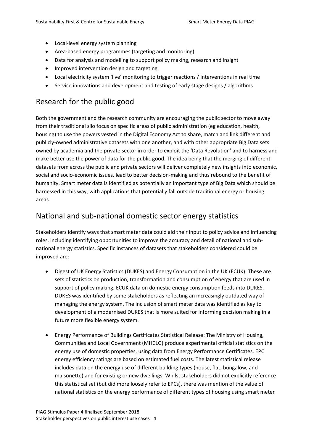- Local-level energy system planning
- Area-based energy programmes (targeting and monitoring)
- Data for analysis and modelling to support policy making, research and insight
- Improved intervention design and targeting
- Local electricity system 'live' monitoring to trigger reactions / interventions in real time
- Service innovations and development and testing of early stage designs / algorithms

#### Research for the public good

Both the government and the research community are encouraging the public sector to move away from their traditional silo focus on specific areas of public administration (eg education, health, housing) to use the powers vested in the Digital Economy Act to share, match and link different and publicly-owned administrative datasets with one another, and with other appropriate Big Data sets owned by academia and the private sector in order to exploit the 'Data Revolution' and to harness and make better use the power of data for the public good. The idea being that the merging of different datasets from across the public and private sectors will deliver completely new insights into economic, social and socio-economic issues, lead to better decision-making and thus rebound to the benefit of humanity. Smart meter data is identified as potentially an important type of Big Data which should be harnessed in this way, with applications that potentially fall outside traditional energy or housing areas.

#### National and sub-national domestic sector energy statistics

Stakeholders identify ways that smart meter data could aid their input to policy advice and influencing roles, including identifying opportunities to improve the accuracy and detail of national and subnational energy statistics. Specific instances of datasets that stakeholders considered could be improved are:

- Digest of UK Energy Statistics (DUKES) and Energy Consumption in the UK (ECUK): These are sets of statistics on production, transformation and consumption of energy that are used in support of policy making. ECUK data on domestic energy consumption feeds into DUKES. DUKES was identified by some stakeholders as reflecting an increasingly outdated way of managing the energy system. The inclusion of smart meter data was identified as key to development of a modernised DUKES that is more suited for informing decision making in a future more flexible energy system.
- Energy Performance of Buildings Certificates Statistical Release: The Ministry of Housing, Communities and Local Government (MHCLG) produce experimental official statistics on the energy use of domestic properties, using data from Energy Performance Certificates. EPC energy efficiency ratings are based on estimated fuel costs. The latest statistical release includes data on the energy use of different building types (house, flat, bungalow, and maisonette) and for existing or new dwellings. Whilst stakeholders did not explicitly reference this statistical set (but did more loosely refer to EPCs), there was mention of the value of national statistics on the energy performance of different types of housing using smart meter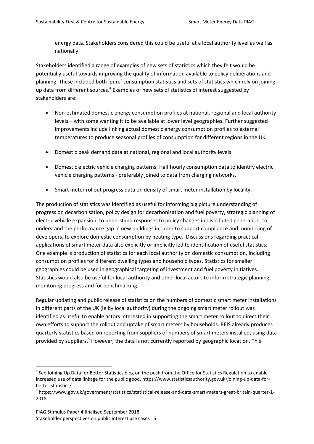energy data. Stakeholders considered this could be useful at a local authority level as well as nationally.

Stakeholders identified a range of examples of new sets of statistics which they felt would be potentially useful towards improving the quality of information available to policy deliberations and planning. These included both 'pure' consumption statistics and sets of statistics which rely on joining up data from different sources.<sup>4</sup> Examples of new sets of statistics of interest suggested by stakeholders are:

- Non-estimated domestic energy consumption profiles at national, regional and local authority levels – with some wanting it to be available at lower level geographies. Further suggested improvements include linking actual domestic energy consumption profiles to external temperatures to produce seasonal profiles of consumption for different regions in the UK.
- Domestic peak demand data at national, regional and local authority levels
- Domestic electric vehicle charging patterns: Half hourly consumption data to identify electric vehicle charging patterns - preferably joined to data from charging networks.
- Smart meter rollout progress data on density of smart meter installation by locality.

The production of statistics was identified as useful for informing big picture understanding of progress on decarbonisation, policy design for decarbonisation and fuel poverty, strategic planning of electric vehicle expansion, to understand responses to policy changes in distributed generation, to understand the performance gap in new buildings in order to support compliance and monitoring of developers, to explore domestic consumption by heating type. Discussions regarding practical applications of smart meter data also explicitly or implicitly led to identification of useful statistics. One example is production of statistics for each local authority on domestic consumption, including consumption profiles for different dwelling types and household types. Statistics for smaller geographies could be used in geographical targeting of investment and fuel poverty initiatives. Statistics would also be useful for local authority and other local actors to inform strategic planning, monitoring progress and for benchmarking.

Regular updating and public release of statistics on the numbers of domestic smart meter installations in different parts of the UK (ie by local authority) during the ongoing smart meter rollout was identified as useful to enable actors interested in supporting the smart meter rollout to direct their own efforts to support the rollout and uptake of smart meters by households. BEIS already produces quarterly statistics based on reporting from suppliers of numbers of smart meters installed, using data provided by suppliers.<sup>5</sup> However, the data is not currently reported by geographic location. This

<sup>&</sup>lt;sup>4</sup> See Joining Up Data for Better Statistics blog on the push from the Office for Statistics Regulation to enable increased use of data linkage for the public good. https://www.statisticsauthority.gov.uk/joining-up-data-forbetter-statistics/

<sup>&</sup>lt;sup>5</sup> https://www.gov.uk/government/statistics/statistical-release-and-data-smart-meters-great-britain-quarter-1-2018

PIAG Stimulus Paper 4 finalised September 2018

Stakeholder perspectives on public interest use cases 5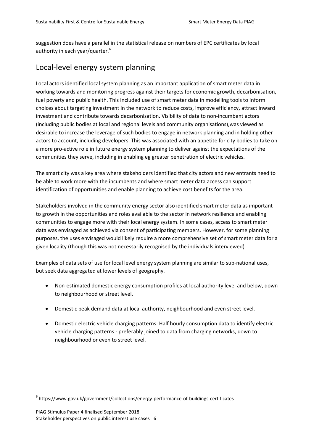suggestion does have a parallel in the statistical release on numbers of EPC certificates by local authority in each year/quarter.<sup>6</sup>

#### Local-level energy system planning

Local actors identified local system planning as an important application of smart meter data in working towards and monitoring progress against their targets for economic growth, decarbonisation, fuel poverty and public health. This included use of smart meter data in modelling tools to inform choices about targeting investment in the network to reduce costs, improve efficiency, attract inward investment and contribute towards decarbonisation. Visibility of data to non-incumbent actors (including public bodies at local and regional levels and community organisations),was viewed as desirable to increase the leverage of such bodies to engage in network planning and in holding other actors to account, including developers. This was associated with an appetite for city bodies to take on a more pro-active role in future energy system planning to deliver against the expectations of the communities they serve, including in enabling eg greater penetration of electric vehicles.

The smart city was a key area where stakeholders identified that city actors and new entrants need to be able to work more with the incumbents and where smart meter data access can support identification of opportunities and enable planning to achieve cost benefits for the area.

Stakeholders involved in the community energy sector also identified smart meter data as important to growth in the opportunities and roles available to the sector in network resilience and enabling communities to engage more with their local energy system. In some cases, access to smart meter data was envisaged as achieved via consent of participating members. However, for some planning purposes, the uses envisaged would likely require a more comprehensive set of smart meter data for a given locality (though this was not necessarily recognised by the individuals interviewed).

Examples of data sets of use for local level energy system planning are similar to sub-national uses, but seek data aggregated at lower levels of geography.

- Non-estimated domestic energy consumption profiles at local authority level and below, down to neighbourhood or street level.
- Domestic peak demand data at local authority, neighbourhood and even street level.
- Domestic electric vehicle charging patterns: Half hourly consumption data to identify electric vehicle charging patterns - preferably joined to data from charging networks, down to neighbourhood or even to street level.

<sup>6</sup> https://www.gov.uk/government/collections/energy-performance-of-buildings-certificates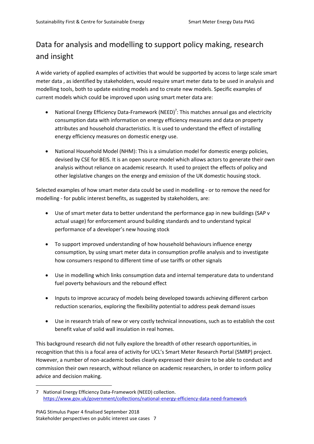## Data for analysis and modelling to support policy making, research and insight

A wide variety of applied examples of activities that would be supported by access to large scale smart meter data , as identified by stakeholders, would require smart meter data to be used in analysis and modelling tools, both to update existing models and to create new models. Specific examples of current models which could be improved upon using smart meter data are:

- National Energy Efficiency Data-Framework (NEED)<sup>7</sup>: This matches annual gas and electricity consumption data with information on energy efficiency measures and data on property attributes and household characteristics. It is used to understand the effect of installing energy efficiency measures on domestic energy use.
- National Household Model (NHM): This is a simulation model for domestic energy policies, devised by CSE for BEIS. It is an open source model which allows actors to generate their own analysis without reliance on academic research. It used to project the effects of policy and other legislative changes on the energy and emission of the UK domestic housing stock.

Selected examples of how smart meter data could be used in modelling - or to remove the need for modelling - for public interest benefits, as suggested by stakeholders, are:

- Use of smart meter data to better understand the performance gap in new buildings (SAP v actual usage) for enforcement around building standards and to understand typical performance of a developer's new housing stock
- To support improved understanding of how household behaviours influence energy consumption, by using smart meter data in consumption profile analysis and to investigate how consumers respond to different time of use tariffs or other signals
- Use in modelling which links consumption data and internal temperature data to understand fuel poverty behaviours and the rebound effect
- Inputs to improve accuracy of models being developed towards achieving different carbon reduction scenarios, exploring the flexibility potential to address peak demand issues
- Use in research trials of new or very costly technical innovations, such as to establish the cost benefit value of solid wall insulation in real homes.

This background research did not fully explore the breadth of other research opportunities, in recognition that this is a focal area of activity for UCL's Smart Meter Research Portal (SMRP) project. However, a number of non-academic bodies clearly expressed their desire to be able to conduct and commission their own research, without reliance on academic researchers, in order to inform policy advice and decision making.

<sup>7</sup> National Energy Efficiency Data-Framework (NEED) collection. <https://www.gov.uk/government/collections/national-energy-efficiency-data-need-framework>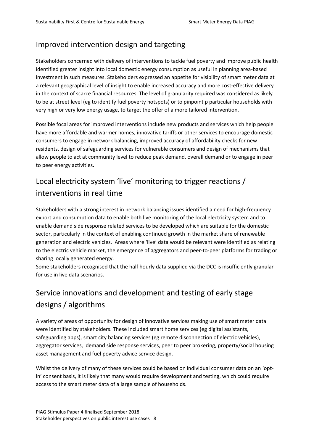#### Improved intervention design and targeting

Stakeholders concerned with delivery of interventions to tackle fuel poverty and improve public health identified greater insight into local domestic energy consumption as useful in planning area-based investment in such measures. Stakeholders expressed an appetite for visibility of smart meter data at a relevant geographical level of insight to enable increased accuracy and more cost-effective delivery in the context of scarce financial resources. The level of granularity required was considered as likely to be at street level (eg to identify fuel poverty hotspots) or to pinpoint p particular households with very high or very low energy usage, to target the offer of a more tailored intervention.

Possible focal areas for improved interventions include new products and services which help people have more affordable and warmer homes, innovative tariffs or other services to encourage domestic consumers to engage in network balancing, improved accuracy of affordability checks for new residents, design of safeguarding services for vulnerable consumers and design of mechanisms that allow people to act at community level to reduce peak demand, overall demand or to engage in peer to peer energy activities.

## Local electricity system 'live' monitoring to trigger reactions / interventions in real time

Stakeholders with a strong interest in network balancing issues identified a need for high-frequency export and consumption data to enable both live monitoring of the local electricity system and to enable demand side response related services to be developed which are suitable for the domestic sector, particularly in the context of enabling continued growth in the market share of renewable generation and electric vehicles. Areas where 'live' data would be relevant were identified as relating to the electric vehicle market, the emergence of aggregators and peer-to-peer platforms for trading or sharing locally generated energy.

Some stakeholders recognised that the half hourly data supplied via the DCC is insufficiently granular for use in live data scenarios.

## Service innovations and development and testing of early stage designs / algorithms

A variety of areas of opportunity for design of innovative services making use of smart meter data were identified by stakeholders. These included smart home services (eg digital assistants, safeguarding apps), smart city balancing services (eg remote disconnection of electric vehicles), aggregator services, demand side response services, peer to peer brokering, property/social housing asset management and fuel poverty advice service design.

Whilst the delivery of many of these services could be based on individual consumer data on an 'optin' consent basis, it is likely that many would require development and testing, which could require access to the smart meter data of a large sample of households.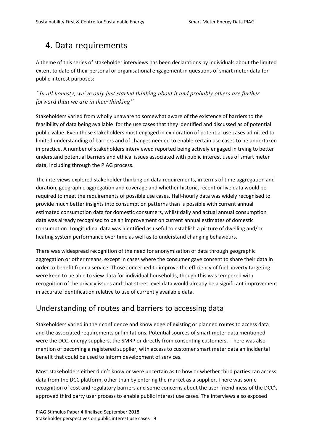## 4. Data requirements

A theme of this series of stakeholder interviews has been declarations by individuals about the limited extent to date of their personal or organisational engagement in questions of smart meter data for public interest purposes:

*"In all honesty, we've only just started thinking about it and probably others are further forward than we are in their thinking"*

Stakeholders varied from wholly unaware to somewhat aware of the existence of barriers to the feasibility of data being available for the use cases that they identified and discussed as of potential public value. Even those stakeholders most engaged in exploration of potential use cases admitted to limited understanding of barriers and of changes needed to enable certain use cases to be undertaken in practice. A number of stakeholders interviewed reported being actively engaged in trying to better understand potential barriers and ethical issues associated with public interest uses of smart meter data, including through the PIAG process.

The interviews explored stakeholder thinking on data requirements, in terms of time aggregation and duration, geographic aggregation and coverage and whether historic, recent or live data would be required to meet the requirements of possible use cases. Half-hourly data was widely recognised to provide much better insights into consumption patterns than is possible with current annual estimated consumption data for domestic consumers, whilst daily and actual annual consumption data was already recognised to be an improvement on current annual estimates of domestic consumption. Longitudinal data was identified as useful to establish a picture of dwelling and/or heating system performance over time as well as to understand changing behaviours.

There was widespread recognition of the need for anonymisation of data through geographic aggregation or other means, except in cases where the consumer gave consent to share their data in order to benefit from a service. Those concerned to improve the efficiency of fuel poverty targeting were keen to be able to view data for individual households, though this was tempered with recognition of the privacy issues and that street level data would already be a significant improvement in accurate identification relative to use of currently available data.

### Understanding of routes and barriers to accessing data

Stakeholders varied in their confidence and knowledge of existing or planned routes to access data and the associated requirements or limitations. Potential sources of smart meter data mentioned were the DCC, energy suppliers, the SMRP or directly from consenting customers. There was also mention of becoming a registered supplier, with access to customer smart meter data an incidental benefit that could be used to inform development of services.

Most stakeholders either didn't know or were uncertain as to how or whether third parties can access data from the DCC platform, other than by entering the market as a supplier. There was some recognition of cost and regulatory barriers and some concerns about the user-friendliness of the DCC's approved third party user process to enable public interest use cases. The interviews also exposed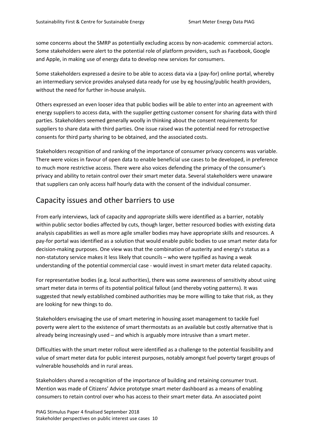some concerns about the SMRP as potentially excluding access by non-academic commercial actors. Some stakeholders were alert to the potential role of platform providers, such as Facebook, Google and Apple, in making use of energy data to develop new services for consumers.

Some stakeholders expressed a desire to be able to access data via a (pay-for) online portal, whereby an intermediary service provides analysed data ready for use by eg housing/public health providers, without the need for further in-house analysis.

Others expressed an even looser idea that public bodies will be able to enter into an agreement with energy suppliers to access data, with the supplier getting customer consent for sharing data with third parties. Stakeholders seemed generally woolly in thinking about the consent requirements for suppliers to share data with third parties. One issue raised was the potential need for retrospective consents for third party sharing to be obtained, and the associated costs.

Stakeholders recognition of and ranking of the importance of consumer privacy concerns was variable. There were voices in favour of open data to enable beneficial use cases to be developed, in preference to much more restrictive access. There were also voices defending the primacy of the consumer's privacy and ability to retain control over their smart meter data. Several stakeholders were unaware that suppliers can only access half hourly data with the consent of the individual consumer.

#### Capacity issues and other barriers to use

From early interviews, lack of capacity and appropriate skills were identified as a barrier, notably within public sector bodies affected by cuts, though larger, better resourced bodies with existing data analysis capabilities as well as more agile smaller bodies may have appropriate skills and resources. A pay-for portal was identified as a solution that would enable public bodies to use smart meter data for decision-making purposes. One view was that the combination of austerity and energy's status as a non-statutory service makes it less likely that councils – who were typified as having a weak understanding of the potential commercial case - would invest in smart meter data related capacity.

For representative bodies (e.g. local authorities), there was some awareness of sensitivity about using smart meter data in terms of its potential political fallout (and thereby voting patterns). It was suggested that newly established combined authorities may be more willing to take that risk, as they are looking for new things to do.

Stakeholders envisaging the use of smart metering in housing asset management to tackle fuel poverty were alert to the existence of smart thermostats as an available but costly alternative that is already being increasingly used – and which is arguably more intrusive than a smart meter.

Difficulties with the smart meter rollout were identified as a challenge to the potential feasibility and value of smart meter data for public interest purposes, notably amongst fuel poverty target groups of vulnerable households and in rural areas.

Stakeholders shared a recognition of the importance of building and retaining consumer trust. Mention was made of Citizens' Advice prototype smart meter dashboard as a means of enabling consumers to retain control over who has access to their smart meter data. An associated point

PIAG Stimulus Paper 4 finalised September 2018 Stakeholder perspectives on public interest use cases 10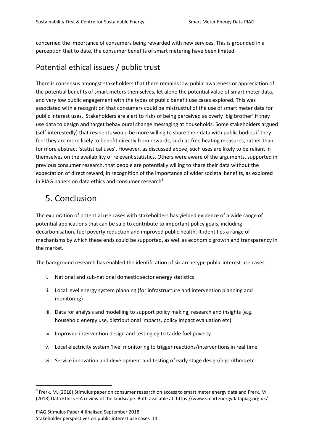concerned the importance of consumers being rewarded with new services. This is grounded in a perception that to date, the consumer benefits of smart metering have been limited.

### Potential ethical issues / public trust

There is consensus amongst stakeholders that there remains low public awareness or appreciation of the potential benefits of smart meters themselves, let alone the potential value of smart meter data, and very low public engagement with the types of public benefit use cases explored. This was associated with a recognition that consumers could be mistrustful of the use of smart meter data for public interest uses. Stakeholders are alert to risks of being perceived as overly 'big brother' if they use data to design and target behavioural change messaging at households. Some stakeholders argued (self-interestedly) that residents would be more willing to share their data with public bodies if they feel they are more likely to benefit directly from rewards, such as free heating measures, rather than for more abstract 'statistical uses'. However, as discussed above, such uses are likely to be reliant in themselves on the availability of relevant statistics. Others were aware of the arguments, supported in previous consumer research, that people are potentially willing to share their data without the expectation of direct reward, in recognition of the importance of wider societal benefits, as explored in PIAG papers on data ethics and consumer research<sup>8</sup>.

## 5. Conclusion

The exploration of potential use cases with stakeholders has yielded evidence of a wide range of potential applications that can be said to contribute to important policy goals, including decarbonisation, fuel poverty reduction and improved public health. It identifies a range of mechanisms by which these ends could be supported, as well as economic growth and transparency in the market.

The background research has enabled the identification of six archetype public interest use cases:

- i. National and sub-national domestic sector energy statistics
- ii. Local level energy system planning (for infrastructure and intervention planning and monitoring)
- iii. Data for analysis and modelling to support policy making, research and insights (e.g. household energy use, distributional impacts, policy impact evaluation etc)
- iv. Improved intervention design and testing eg to tackle fuel poverty
- v. Local electricity system 'live' monitoring to trigger reactions/interventions in real time
- vi. Service innovation and development and testing of early stage design/algorithms etc

PIAG Stimulus Paper 4 finalised September 2018 Stakeholder perspectives on public interest use cases 11

 $^8$  Frerk, M. (2018) Stimulus paper on consumer research on access to smart meter energy data and Frerk, M (2018) Data Ethics – A review of the landscape. Both available at: https://www.smartenergydatapiag.org.uk/